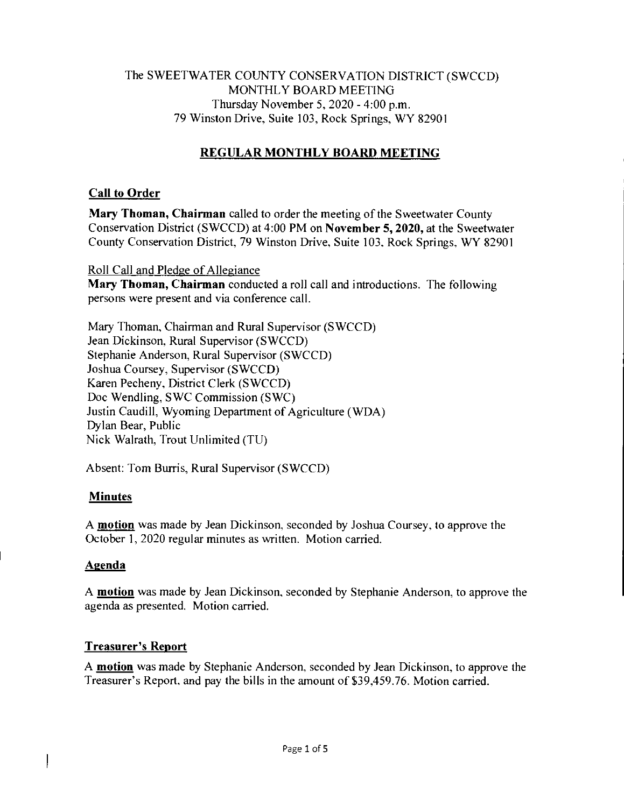### The SWEETWATER COUNTY CONSERVATION DISTRICT (SWCCD) MONTHLY BOARD MEETING Thursday November 5, 2020 - 4:00 p.m. 79 Winston Drive, Suite 103, Rock Springs, WY 82901

# **REGULAR MONTHLY BOARD MEETING**

### **Call to Order**

**Mary Thoman, Chairman** called to order the meeting of the Sweetwater County Conservation District (SWCCD) at 4:00 PM on **November 5, 2020,** at the Sweetwater County Conservation District, 79 Winston Drive, Suite 103, Rock Springs, WY 82901

### Roll Call and Pledge of Allegiance

**Mary Thoman, Chairman** conducted a roll call and introductions. The following persons were present and via conference call.

Mary Thoman, Chairman and Rural Supervisor (SWCCD) Jean Dickinson, Rural Supervisor (SWCCD) Stephanie Anderson, Rural Supervisor (SWCCD) Joshua Coursey, Supervisor (SWCCD) Karen Pecheny, District Clerk (SWCCD) Doc Wendling, SWC Commission (SWC) Justin Caudill, Wyoming Department of Agriculture (WDA) Dylan Bear, Public Nick Walrath, Trout Unlimited (TU)

Absent: Tom Burris, Rural Supervisor (SWCCD)

# **Minutes**

A **motion** was made by Jean Dickinson, seconded by Joshua Coursey, to approve the October 1, 2020 regular minutes as written. Motion carried.

### **Agenda**

A **motion** was made by Jean Dickinson, seconded by Stephanie Anderson, to approve the agenda as presented. Motion carried.

# **Treasurer's Report**

A **motion** was made by Stephanie Anderson, seconded by Jean Dickinson, to approve the Treasurer's Report, and pay the bills in the amount of \$39,459.76. Motion carried.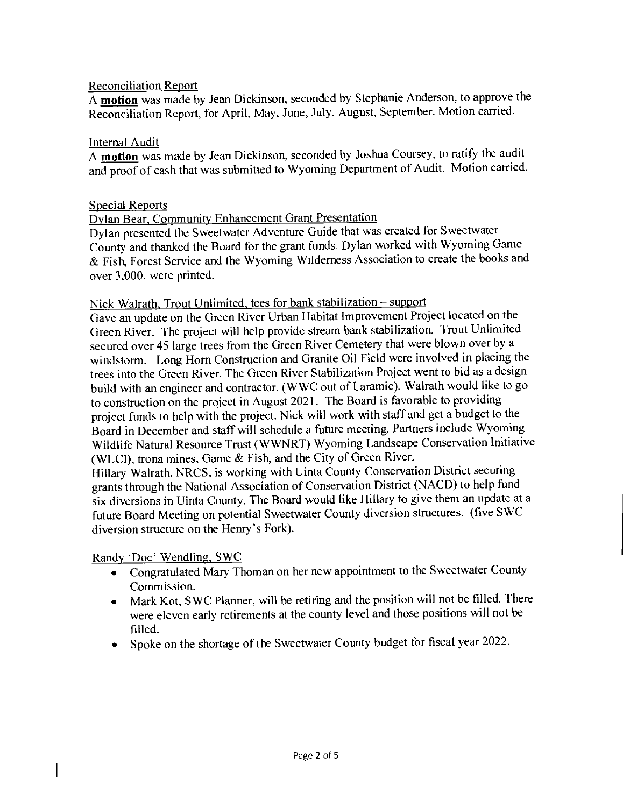#### Reconciliation Report

A motion was made by Jean Dickinson, seconded by Stephanie Anderson, to approve the Reconciliation Report, for April, May, June, July, August, September. Motion carried.

#### Internal Audit

A motion was made by Jean Dickinson, seconded by Joshua Coursey, to ratify the audit and proof of cash that was submitted to Wyoming Department of Audit. Motion carried.

#### Special Reports

#### Dylan Bear, Community Enhancement Grant Presentation

Dylan presented the Sweetwater Adventure Guide that was created for Sweetwater County and thanked the Board for the grant funds. Dylan worked with Wyoming Game & Fish, Forest Service and the Wyoming Wilderness Association to create the books and over 3,000. were printed.

#### Nick Walrath, Trout Unlimited, tees for bank stabilization — support

Gave an update on the Green River Urban Habitat Improvement Project located on the Green River. The project will help provide stream bank stabilization. Trout Unlimited secured over 45 large trees from the Green River Cemetery that were blown over by a windstorm. Long Horn Construction and Granite Oil Field were involved in placing the trees into the Green River. The Green River Stabilization Project went to bid as a design build with an engineer and contractor. (W WC out of Laramie). Walrath would like to go to construction on the project in August 2021. The Board is favorable to providing project funds to help with the project. Nick will work with staff and get a budget to the Board in December and staff will schedule a future meeting. Partners include Wyoming Wildlife Natural Resource Trust (WWNRT) Wyoming Landscape Conservation Initiative (WLCI), trona mines, Game & Fish, and the City of Green River.

Hillary Walrath, NRCS, is working with Uinta County Conservation District securing grants through the National Association of Conservation District (NACD) to help fund six diversions in Uinta County. The Board would like Hillary to give them an update at a future Board Meeting on potential Sweetwater County diversion structures. (five SWC diversion structure on the Henry's Fork).

Randy 'Doc' Wendling, SWC

 $\overline{\phantom{a}}$ 

- Congratulated Mary Thoman on her new appointment to the Sweetwater County Commission.
- Mark Kot, SWC Planner, will be retiring and the position will not be filled. There were eleven early retirements at the county level and those positions will not be filled.
- Spoke on the shortage of the Sweetwater County budget for fiscal year 2022.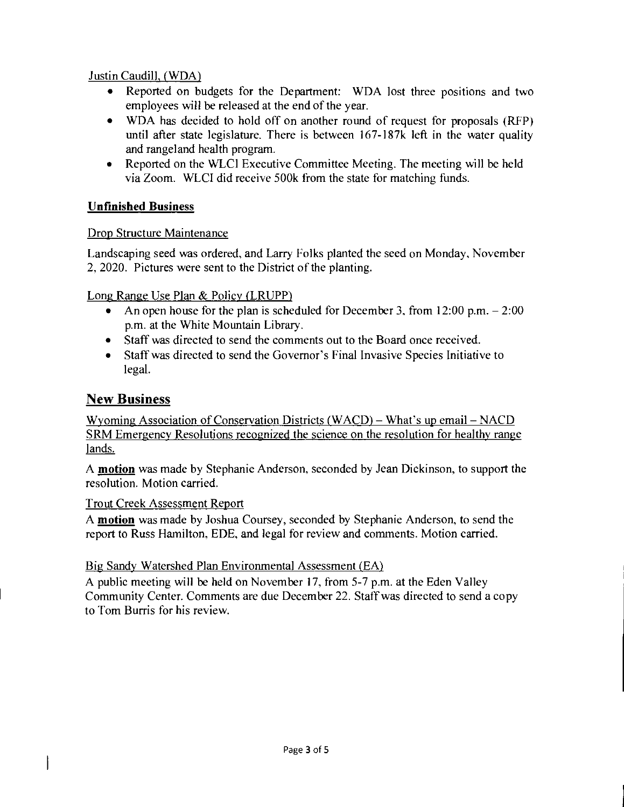Justin Caudill, (WDA)

- Reported on budgets for the Department: WDA lost three positions and two employees will be released at the end of the year.
- WDA has decided to hold off on another round of request for proposals (RFP) until after state legislature. There is between 167-187k left in the water quality and rangeland health program.
- Reported on the WLCI Executive Committee Meeting. The meeting will be held via Zoom. WLCI did receive 500k from the state for matching funds.

# **Unfinished Business**

# Drop Structure Maintenance

Landscaping seed was ordered, and Larry Folks planted the seed on Monday, November 2, 2020. Pictures were sent to the District of the planting.

Long Range Use Plan & Policy (LRUPP)

- An open house for the plan is scheduled for December 3, from 12:00 p.m. 2:00 p.m. at the White Mountain Library.
- Staff was directed to send the comments out to the Board once received.
- Staff was directed to send the Governor's Final Invasive Species Initiative to legal.

# New Business

ľ

Wyoming Association of Conservation Districts (WACD) — What's up email — NACD SRM Emergency Resolutions recognized the science on the resolution for healthy range lands.

A **motion** was made by Stephanie Anderson, seconded by Jean Dickinson, to support the resolution. Motion carried.

Trout Creek Assessment Report

A **motion** was made by Joshua Coursey, seconded by Stephanie Anderson, to send the report to Russ Hamilton, EDE, and legal for review and comments. Motion carried.

Big Sandy Watershed Plan Environmental Assessment (EA)

A public meeting will be held on November 17, from 5-7 p.m. at the Eden Valley Community Center. Comments are due December 22. Staff was directed to send a copy to Tom Burris for his review.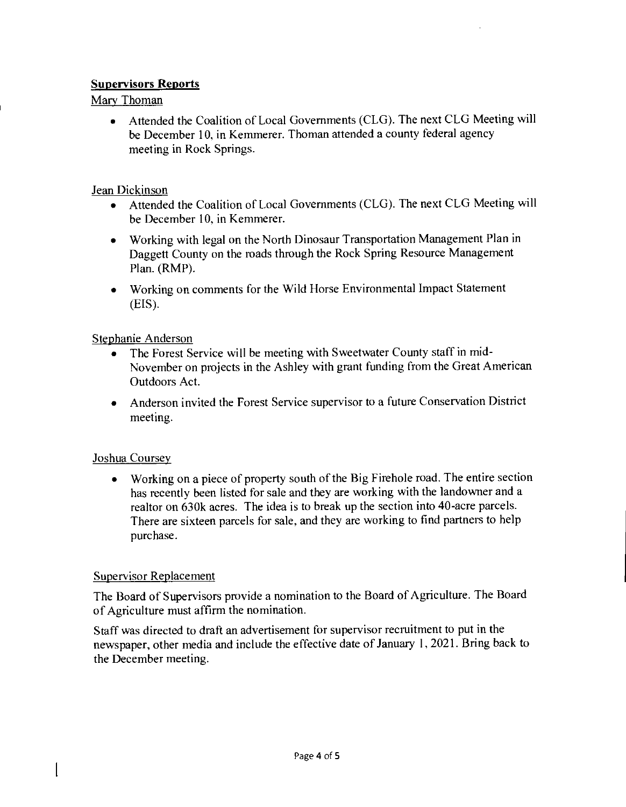### **Supervisors Reports**

Mary Thoman

• Attended the Coalition of Local Governments (CLG). The next CLG Meeting will be December 10, in Kemmerer. Thoman attended a county federal agency meeting in Rock Springs.

### Jean Dickinson

- Attended the Coalition of Local Governments (CLG). The next CLG Meeting will be December 10, in Kemmerer.
- Working with legal on the North Dinosaur Transportation Management Plan in Daggett County on the roads through the Rock Spring Resource Management Plan. (RMP).
- Working on comments for the Wild Horse Environmental Impact Statement (EIS).

### Stephanie Anderson

- The Forest Service will be meeting with Sweetwater County staff in mid-November on projects in the Ashley with grant funding from the Great American Outdoors Act.
- Anderson invited the Forest Service supervisor to a future Conservation District meeting.

# Joshua Coursey

• Working on a piece of property south of the Big Firehole road. The entire section has recently been listed for sale and they are working with the landowner and a realtor on 630k acres. The idea is to break up the section into 40-acre parcels. There are sixteen parcels for sale, and they are working to find partners to help purchase.

### Supervisor Replacement

 $\overline{\phantom{a}}$ 

The Board of Supervisors provide a nomination to the Board of Agriculture. The Board of Agriculture must affirm the nomination.

Staff was directed to draft an advertisement for supervisor recruitment to put in the newspaper, other media and include the effective date of January 1, 2021. Bring back to the December meeting.